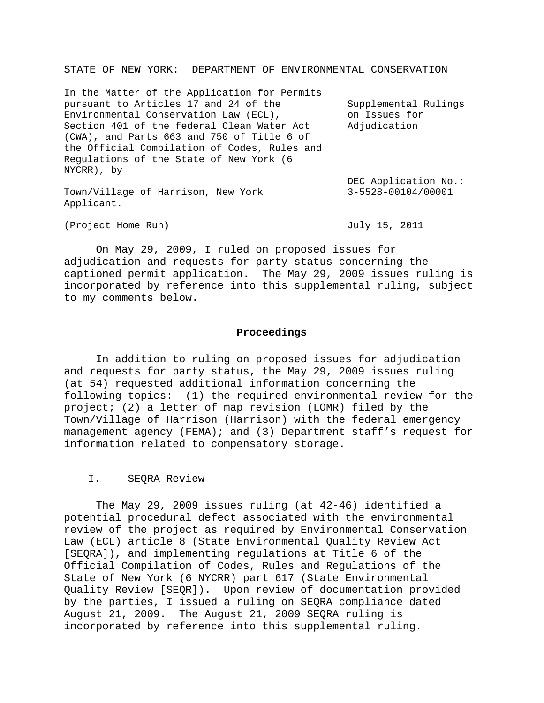#### STATE OF NEW YORK: DEPARTMENT OF ENVIRONMENTAL CONSERVATION

| In the Matter of the Application for Permits |                      |
|----------------------------------------------|----------------------|
| pursuant to Articles 17 and 24 of the        | Supplemental Rulings |
| Environmental Conservation Law (ECL),        | on Issues for        |
| Section 401 of the federal Clean Water Act   | Adjudication         |
| (CWA), and Parts 663 and 750 of Title 6 of   |                      |
| the Official Compilation of Codes, Rules and |                      |
| Regulations of the State of New York (6      |                      |
| NYCRR), by                                   |                      |
|                                              | DEC Application No.: |
| Town/Village of Harrison, New York           | 3-5528-00104/00001   |
| Applicant.                                   |                      |
|                                              |                      |

 On May 29, 2009, I ruled on proposed issues for adjudication and requests for party status concerning the captioned permit application. The May 29, 2009 issues ruling is incorporated by reference into this supplemental ruling, subject to my comments below.

(Project Home Run) July 15, 2011

### **Proceedings**

 In addition to ruling on proposed issues for adjudication and requests for party status, the May 29, 2009 issues ruling (at 54) requested additional information concerning the following topics: (1) the required environmental review for the project; (2) a letter of map revision (LOMR) filed by the Town/Village of Harrison (Harrison) with the federal emergency management agency (FEMA); and (3) Department staff's request for information related to compensatory storage.

# I. SEQRA Review

 The May 29, 2009 issues ruling (at 42-46) identified a potential procedural defect associated with the environmental review of the project as required by Environmental Conservation Law (ECL) article 8 (State Environmental Quality Review Act [SEQRA]), and implementing regulations at Title 6 of the Official Compilation of Codes, Rules and Regulations of the State of New York (6 NYCRR) part 617 (State Environmental Quality Review [SEQR]). Upon review of documentation provided by the parties, I issued a ruling on SEQRA compliance dated August 21, 2009. The August 21, 2009 SEQRA ruling is incorporated by reference into this supplemental ruling.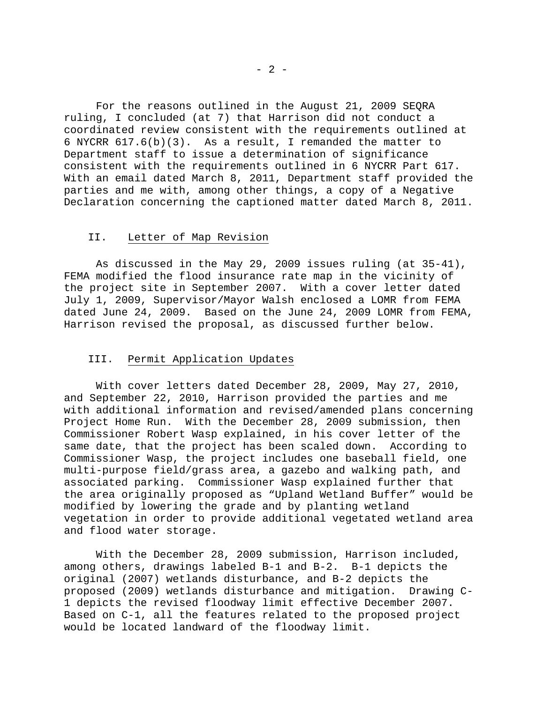For the reasons outlined in the August 21, 2009 SEQRA ruling, I concluded (at 7) that Harrison did not conduct a coordinated review consistent with the requirements outlined at 6 NYCRR 617.6(b)(3). As a result, I remanded the matter to Department staff to issue a determination of significance consistent with the requirements outlined in 6 NYCRR Part 617. With an email dated March 8, 2011, Department staff provided the parties and me with, among other things, a copy of a Negative Declaration concerning the captioned matter dated March 8, 2011.

# II. Letter of Map Revision

 As discussed in the May 29, 2009 issues ruling (at 35-41), FEMA modified the flood insurance rate map in the vicinity of the project site in September 2007. With a cover letter dated July 1, 2009, Supervisor/Mayor Walsh enclosed a LOMR from FEMA dated June 24, 2009. Based on the June 24, 2009 LOMR from FEMA, Harrison revised the proposal, as discussed further below.

### III. Permit Application Updates

 With cover letters dated December 28, 2009, May 27, 2010, and September 22, 2010, Harrison provided the parties and me with additional information and revised/amended plans concerning Project Home Run. With the December 28, 2009 submission, then Commissioner Robert Wasp explained, in his cover letter of the same date, that the project has been scaled down. According to Commissioner Wasp, the project includes one baseball field, one multi-purpose field/grass area, a gazebo and walking path, and associated parking. Commissioner Wasp explained further that the area originally proposed as "Upland Wetland Buffer" would be modified by lowering the grade and by planting wetland vegetation in order to provide additional vegetated wetland area and flood water storage.

 With the December 28, 2009 submission, Harrison included, among others, drawings labeled B-1 and B-2. B-1 depicts the original (2007) wetlands disturbance, and B-2 depicts the proposed (2009) wetlands disturbance and mitigation. Drawing C-1 depicts the revised floodway limit effective December 2007. Based on C-1, all the features related to the proposed project would be located landward of the floodway limit.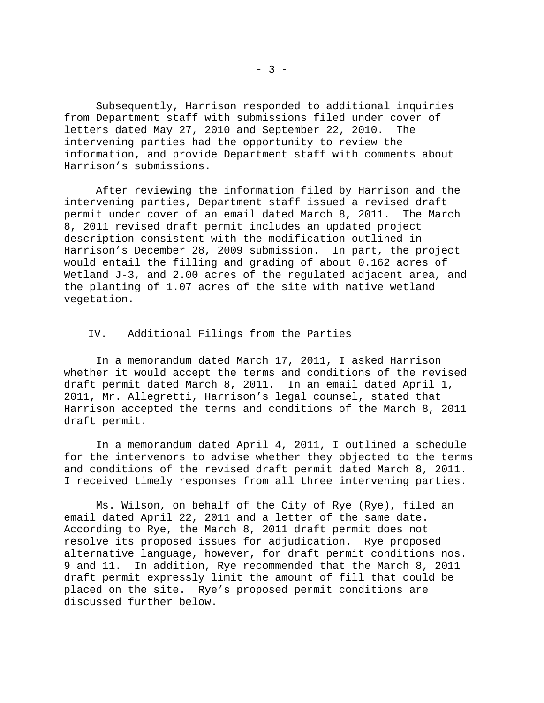Subsequently, Harrison responded to additional inquiries from Department staff with submissions filed under cover of letters dated May 27, 2010 and September 22, 2010. The intervening parties had the opportunity to review the information, and provide Department staff with comments about Harrison's submissions.

 After reviewing the information filed by Harrison and the intervening parties, Department staff issued a revised draft permit under cover of an email dated March 8, 2011. The March 8, 2011 revised draft permit includes an updated project description consistent with the modification outlined in Harrison's December 28, 2009 submission. In part, the project would entail the filling and grading of about 0.162 acres of Wetland J-3, and 2.00 acres of the regulated adjacent area, and the planting of 1.07 acres of the site with native wetland vegetation.

# IV. Additional Filings from the Parties

 In a memorandum dated March 17, 2011, I asked Harrison whether it would accept the terms and conditions of the revised draft permit dated March 8, 2011. In an email dated April 1, 2011, Mr. Allegretti, Harrison's legal counsel, stated that Harrison accepted the terms and conditions of the March 8, 2011 draft permit.

 In a memorandum dated April 4, 2011, I outlined a schedule for the intervenors to advise whether they objected to the terms and conditions of the revised draft permit dated March 8, 2011. I received timely responses from all three intervening parties.

 Ms. Wilson, on behalf of the City of Rye (Rye), filed an email dated April 22, 2011 and a letter of the same date. According to Rye, the March 8, 2011 draft permit does not resolve its proposed issues for adjudication. Rye proposed alternative language, however, for draft permit conditions nos. 9 and 11. In addition, Rye recommended that the March 8, 2011 draft permit expressly limit the amount of fill that could be placed on the site. Rye's proposed permit conditions are discussed further below.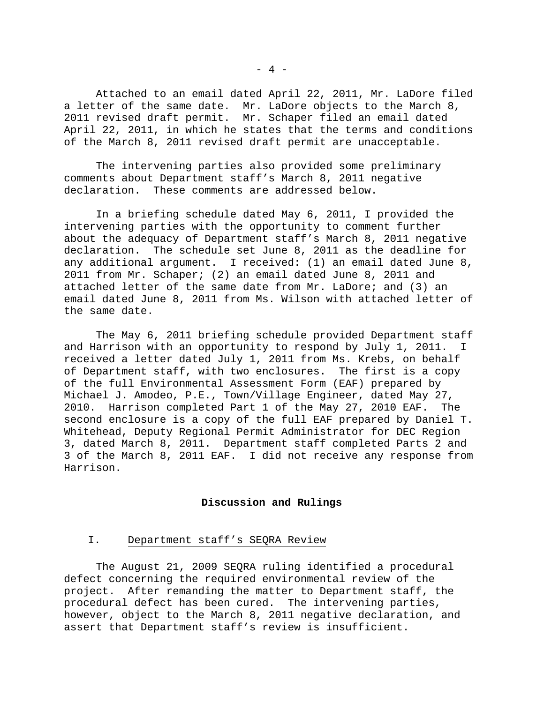Attached to an email dated April 22, 2011, Mr. LaDore filed a letter of the same date. Mr. LaDore objects to the March 8, 2011 revised draft permit. Mr. Schaper filed an email dated April 22, 2011, in which he states that the terms and conditions of the March 8, 2011 revised draft permit are unacceptable.

 The intervening parties also provided some preliminary comments about Department staff's March 8, 2011 negative declaration. These comments are addressed below.

 In a briefing schedule dated May 6, 2011, I provided the intervening parties with the opportunity to comment further about the adequacy of Department staff's March 8, 2011 negative declaration. The schedule set June 8, 2011 as the deadline for any additional argument. I received: (1) an email dated June 8, 2011 from Mr. Schaper; (2) an email dated June 8, 2011 and attached letter of the same date from Mr. LaDore; and (3) an email dated June 8, 2011 from Ms. Wilson with attached letter of the same date.

 The May 6, 2011 briefing schedule provided Department staff and Harrison with an opportunity to respond by July 1, 2011. I received a letter dated July 1, 2011 from Ms. Krebs, on behalf of Department staff, with two enclosures. The first is a copy of the full Environmental Assessment Form (EAF) prepared by Michael J. Amodeo, P.E., Town/Village Engineer, dated May 27, 2010. Harrison completed Part 1 of the May 27, 2010 EAF. The second enclosure is a copy of the full EAF prepared by Daniel T. Whitehead, Deputy Regional Permit Administrator for DEC Region 3, dated March 8, 2011. Department staff completed Parts 2 and 3 of the March 8, 2011 EAF. I did not receive any response from Harrison.

# **Discussion and Rulings**

# I. Department staff's SEQRA Review

 The August 21, 2009 SEQRA ruling identified a procedural defect concerning the required environmental review of the project. After remanding the matter to Department staff, the procedural defect has been cured. The intervening parties, however, object to the March 8, 2011 negative declaration, and assert that Department staff's review is insufficient.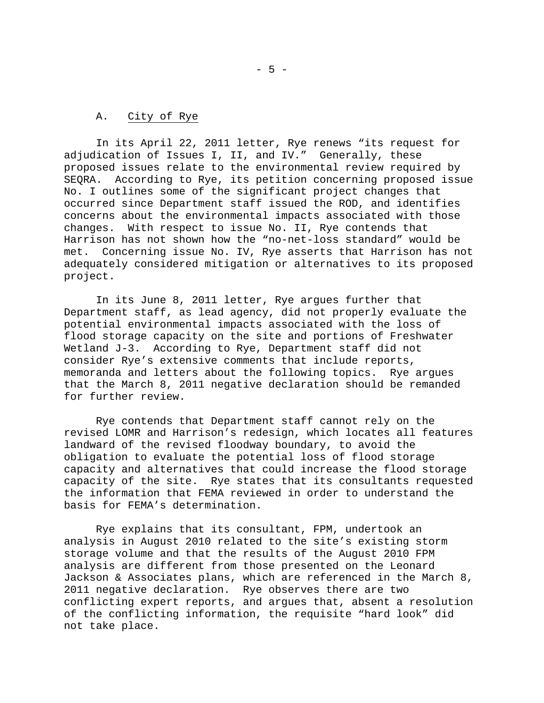# A. City of Rye

 In its April 22, 2011 letter, Rye renews "its request for adjudication of Issues I, II, and IV." Generally, these proposed issues relate to the environmental review required by SEQRA. According to Rye, its petition concerning proposed issue No. I outlines some of the significant project changes that occurred since Department staff issued the ROD, and identifies concerns about the environmental impacts associated with those changes. With respect to issue No. II, Rye contends that Harrison has not shown how the "no-net-loss standard" would be met. Concerning issue No. IV, Rye asserts that Harrison has not adequately considered mitigation or alternatives to its proposed project.

 In its June 8, 2011 letter, Rye argues further that Department staff, as lead agency, did not properly evaluate the potential environmental impacts associated with the loss of flood storage capacity on the site and portions of Freshwater Wetland J-3. According to Rye, Department staff did not consider Rye's extensive comments that include reports, memoranda and letters about the following topics. Rye argues that the March 8, 2011 negative declaration should be remanded for further review.

 Rye contends that Department staff cannot rely on the revised LOMR and Harrison's redesign, which locates all features landward of the revised floodway boundary, to avoid the obligation to evaluate the potential loss of flood storage capacity and alternatives that could increase the flood storage capacity of the site. Rye states that its consultants requested the information that FEMA reviewed in order to understand the basis for FEMA's determination.

 Rye explains that its consultant, FPM, undertook an analysis in August 2010 related to the site's existing storm storage volume and that the results of the August 2010 FPM analysis are different from those presented on the Leonard Jackson & Associates plans, which are referenced in the March 8, 2011 negative declaration. Rye observes there are two conflicting expert reports, and argues that, absent a resolution of the conflicting information, the requisite "hard look" did not take place.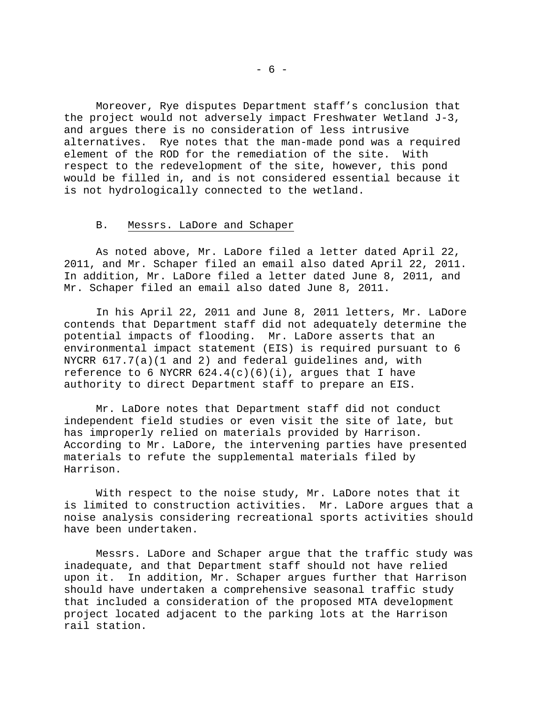Moreover, Rye disputes Department staff's conclusion that the project would not adversely impact Freshwater Wetland J-3, and argues there is no consideration of less intrusive alternatives. Rye notes that the man-made pond was a required element of the ROD for the remediation of the site. With respect to the redevelopment of the site, however, this pond would be filled in, and is not considered essential because it is not hydrologically connected to the wetland.

# B. Messrs. LaDore and Schaper

 As noted above, Mr. LaDore filed a letter dated April 22, 2011, and Mr. Schaper filed an email also dated April 22, 2011. In addition, Mr. LaDore filed a letter dated June 8, 2011, and Mr. Schaper filed an email also dated June 8, 2011.

 In his April 22, 2011 and June 8, 2011 letters, Mr. LaDore contends that Department staff did not adequately determine the potential impacts of flooding. Mr. LaDore asserts that an environmental impact statement (EIS) is required pursuant to 6 NYCRR 617.7(a)(1 and 2) and federal guidelines and, with reference to 6 NYCRR  $624.4(c)(6)(i)$ , argues that I have authority to direct Department staff to prepare an EIS.

 Mr. LaDore notes that Department staff did not conduct independent field studies or even visit the site of late, but has improperly relied on materials provided by Harrison. According to Mr. LaDore, the intervening parties have presented materials to refute the supplemental materials filed by Harrison.

 With respect to the noise study, Mr. LaDore notes that it is limited to construction activities. Mr. LaDore argues that a noise analysis considering recreational sports activities should have been undertaken.

 Messrs. LaDore and Schaper argue that the traffic study was inadequate, and that Department staff should not have relied upon it. In addition, Mr. Schaper argues further that Harrison should have undertaken a comprehensive seasonal traffic study that included a consideration of the proposed MTA development project located adjacent to the parking lots at the Harrison rail station.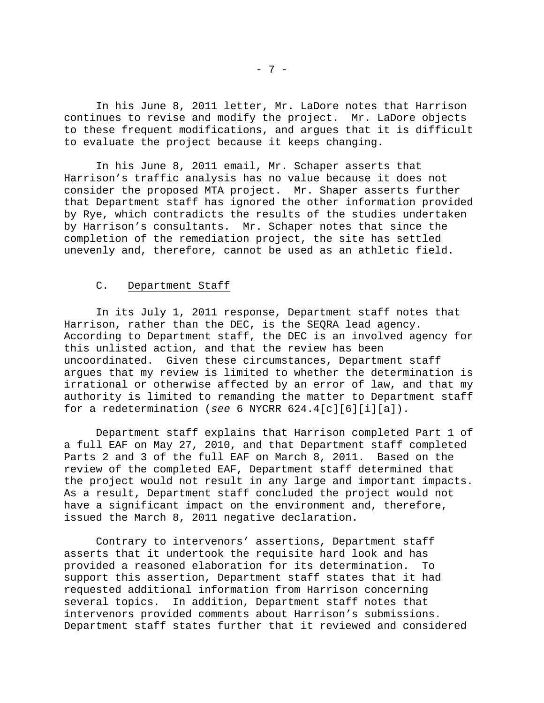In his June 8, 2011 letter, Mr. LaDore notes that Harrison continues to revise and modify the project. Mr. LaDore objects to these frequent modifications, and argues that it is difficult to evaluate the project because it keeps changing.

 In his June 8, 2011 email, Mr. Schaper asserts that Harrison's traffic analysis has no value because it does not consider the proposed MTA project. Mr. Shaper asserts further that Department staff has ignored the other information provided by Rye, which contradicts the results of the studies undertaken by Harrison's consultants. Mr. Schaper notes that since the completion of the remediation project, the site has settled unevenly and, therefore, cannot be used as an athletic field.

# C. Department Staff

 In its July 1, 2011 response, Department staff notes that Harrison, rather than the DEC, is the SEQRA lead agency. According to Department staff, the DEC is an involved agency for this unlisted action, and that the review has been uncoordinated. Given these circumstances, Department staff argues that my review is limited to whether the determination is irrational or otherwise affected by an error of law, and that my authority is limited to remanding the matter to Department staff for a redetermination (*see* 6 NYCRR 624.4[c][6][i][a]).

 Department staff explains that Harrison completed Part 1 of a full EAF on May 27, 2010, and that Department staff completed Parts 2 and 3 of the full EAF on March 8, 2011. Based on the review of the completed EAF, Department staff determined that the project would not result in any large and important impacts. As a result, Department staff concluded the project would not have a significant impact on the environment and, therefore, issued the March 8, 2011 negative declaration.

 Contrary to intervenors' assertions, Department staff asserts that it undertook the requisite hard look and has provided a reasoned elaboration for its determination. To support this assertion, Department staff states that it had requested additional information from Harrison concerning several topics. In addition, Department staff notes that intervenors provided comments about Harrison's submissions. Department staff states further that it reviewed and considered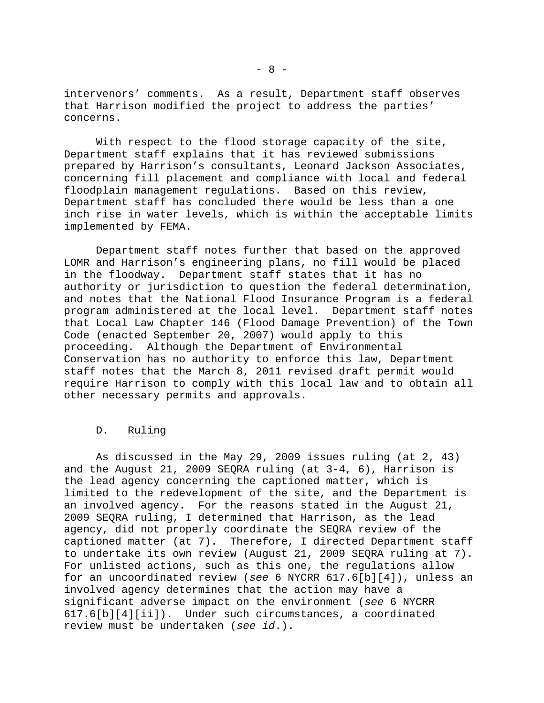intervenors' comments. As a result, Department staff observes that Harrison modified the project to address the parties' concerns.

 With respect to the flood storage capacity of the site, Department staff explains that it has reviewed submissions prepared by Harrison's consultants, Leonard Jackson Associates, concerning fill placement and compliance with local and federal floodplain management regulations. Based on this review, Department staff has concluded there would be less than a one inch rise in water levels, which is within the acceptable limits implemented by FEMA.

 Department staff notes further that based on the approved LOMR and Harrison's engineering plans, no fill would be placed in the floodway. Department staff states that it has no authority or jurisdiction to question the federal determination, and notes that the National Flood Insurance Program is a federal program administered at the local level. Department staff notes that Local Law Chapter 146 (Flood Damage Prevention) of the Town Code (enacted September 20, 2007) would apply to this proceeding. Although the Department of Environmental Conservation has no authority to enforce this law, Department staff notes that the March 8, 2011 revised draft permit would require Harrison to comply with this local law and to obtain all other necessary permits and approvals.

# D. Ruling

 As discussed in the May 29, 2009 issues ruling (at 2, 43) and the August 21, 2009 SEQRA ruling (at 3-4, 6), Harrison is the lead agency concerning the captioned matter, which is limited to the redevelopment of the site, and the Department is an involved agency. For the reasons stated in the August 21, 2009 SEQRA ruling, I determined that Harrison, as the lead agency, did not properly coordinate the SEQRA review of the captioned matter (at 7). Therefore, I directed Department staff to undertake its own review (August 21, 2009 SEQRA ruling at 7). For unlisted actions, such as this one, the regulations allow for an uncoordinated review (*see* 6 NYCRR 617.6[b][4]), unless an involved agency determines that the action may have a significant adverse impact on the environment (*see* 6 NYCRR 617.6[b][4][ii]). Under such circumstances, a coordinated review must be undertaken (*see id*.).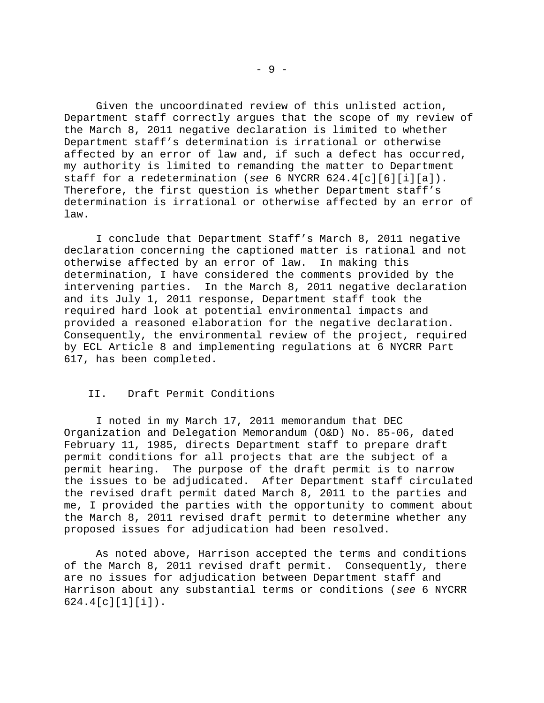Given the uncoordinated review of this unlisted action, Department staff correctly argues that the scope of my review of the March 8, 2011 negative declaration is limited to whether Department staff's determination is irrational or otherwise affected by an error of law and, if such a defect has occurred, my authority is limited to remanding the matter to Department staff for a redetermination (*see* 6 NYCRR 624.4[c][6][i][a]). Therefore, the first question is whether Department staff's determination is irrational or otherwise affected by an error of law.

 I conclude that Department Staff's March 8, 2011 negative declaration concerning the captioned matter is rational and not otherwise affected by an error of law. In making this determination, I have considered the comments provided by the intervening parties. In the March 8, 2011 negative declaration and its July 1, 2011 response, Department staff took the required hard look at potential environmental impacts and provided a reasoned elaboration for the negative declaration. Consequently, the environmental review of the project, required by ECL Article 8 and implementing regulations at 6 NYCRR Part 617, has been completed.

# II. Draft Permit Conditions

 I noted in my March 17, 2011 memorandum that DEC Organization and Delegation Memorandum (O&D) No. 85-06, dated February 11, 1985, directs Department staff to prepare draft permit conditions for all projects that are the subject of a permit hearing. The purpose of the draft permit is to narrow the issues to be adjudicated. After Department staff circulated the revised draft permit dated March 8, 2011 to the parties and me, I provided the parties with the opportunity to comment about the March 8, 2011 revised draft permit to determine whether any proposed issues for adjudication had been resolved.

 As noted above, Harrison accepted the terms and conditions of the March 8, 2011 revised draft permit. Consequently, there are no issues for adjudication between Department staff and Harrison about any substantial terms or conditions (*see* 6 NYCRR 624.4[c][1][i]).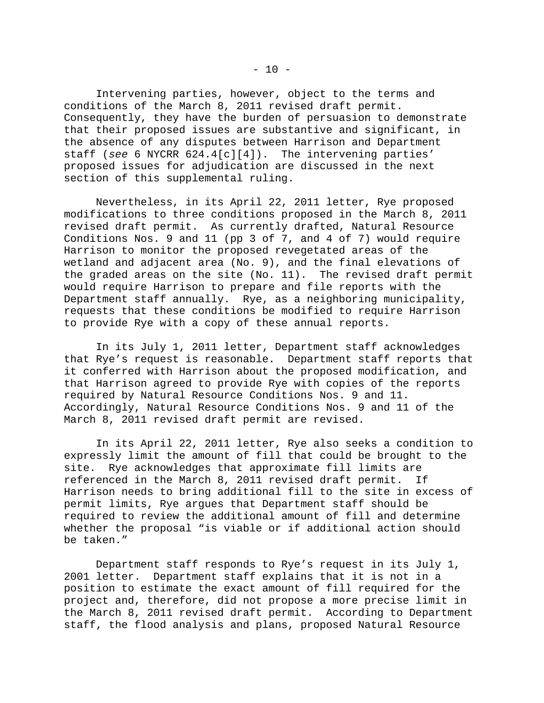Intervening parties, however, object to the terms and conditions of the March 8, 2011 revised draft permit. Consequently, they have the burden of persuasion to demonstrate that their proposed issues are substantive and significant, in the absence of any disputes between Harrison and Department staff (*see* 6 NYCRR 624.4[c][4]). The intervening parties' proposed issues for adjudication are discussed in the next section of this supplemental ruling.

 Nevertheless, in its April 22, 2011 letter, Rye proposed modifications to three conditions proposed in the March 8, 2011 revised draft permit. As currently drafted, Natural Resource Conditions Nos. 9 and 11 (pp 3 of 7, and 4 of 7) would require Harrison to monitor the proposed revegetated areas of the wetland and adjacent area (No. 9), and the final elevations of the graded areas on the site (No. 11). The revised draft permit would require Harrison to prepare and file reports with the Department staff annually. Rye, as a neighboring municipality, requests that these conditions be modified to require Harrison to provide Rye with a copy of these annual reports.

 In its July 1, 2011 letter, Department staff acknowledges that Rye's request is reasonable. Department staff reports that it conferred with Harrison about the proposed modification, and that Harrison agreed to provide Rye with copies of the reports required by Natural Resource Conditions Nos. 9 and 11. Accordingly, Natural Resource Conditions Nos. 9 and 11 of the March 8, 2011 revised draft permit are revised.

 In its April 22, 2011 letter, Rye also seeks a condition to expressly limit the amount of fill that could be brought to the site. Rye acknowledges that approximate fill limits are referenced in the March 8, 2011 revised draft permit. If Harrison needs to bring additional fill to the site in excess of permit limits, Rye argues that Department staff should be required to review the additional amount of fill and determine whether the proposal "is viable or if additional action should be taken."

 Department staff responds to Rye's request in its July 1, 2001 letter. Department staff explains that it is not in a position to estimate the exact amount of fill required for the project and, therefore, did not propose a more precise limit in the March 8, 2011 revised draft permit. According to Department staff, the flood analysis and plans, proposed Natural Resource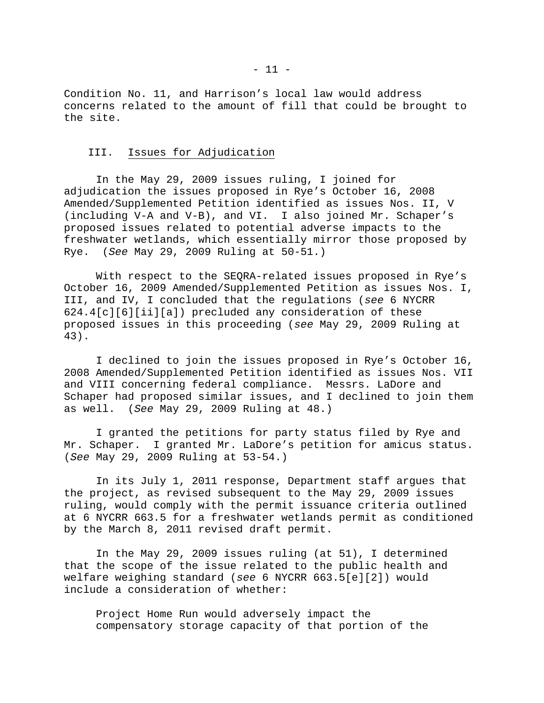Condition No. 11, and Harrison's local law would address concerns related to the amount of fill that could be brought to the site.

### III. Issues for Adjudication

 In the May 29, 2009 issues ruling, I joined for adjudication the issues proposed in Rye's October 16, 2008 Amended/Supplemented Petition identified as issues Nos. II, V (including V-A and V-B), and VI. I also joined Mr. Schaper's proposed issues related to potential adverse impacts to the freshwater wetlands, which essentially mirror those proposed by Rye. (*See* May 29, 2009 Ruling at 50-51.)

 With respect to the SEQRA-related issues proposed in Rye's October 16, 2009 Amended/Supplemented Petition as issues Nos. I, III, and IV, I concluded that the regulations (*see* 6 NYCRR 624.4[c][6][ii][a]) precluded any consideration of these proposed issues in this proceeding (*see* May 29, 2009 Ruling at 43).

 I declined to join the issues proposed in Rye's October 16, 2008 Amended/Supplemented Petition identified as issues Nos. VII and VIII concerning federal compliance. Messrs. LaDore and Schaper had proposed similar issues, and I declined to join them as well. (*See* May 29, 2009 Ruling at 48.)

 I granted the petitions for party status filed by Rye and Mr. Schaper. I granted Mr. LaDore's petition for amicus status. (*See* May 29, 2009 Ruling at 53-54.)

 In its July 1, 2011 response, Department staff argues that the project, as revised subsequent to the May 29, 2009 issues ruling, would comply with the permit issuance criteria outlined at 6 NYCRR 663.5 for a freshwater wetlands permit as conditioned by the March 8, 2011 revised draft permit.

 In the May 29, 2009 issues ruling (at 51), I determined that the scope of the issue related to the public health and welfare weighing standard (*see* 6 NYCRR 663.5[e][2]) would include a consideration of whether:

Project Home Run would adversely impact the compensatory storage capacity of that portion of the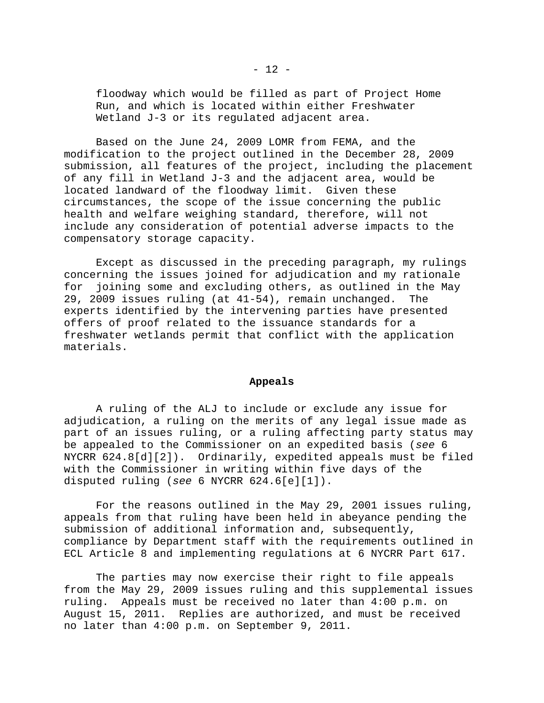floodway which would be filled as part of Project Home Run, and which is located within either Freshwater Wetland J-3 or its requlated adjacent area.

 Based on the June 24, 2009 LOMR from FEMA, and the modification to the project outlined in the December 28, 2009 submission, all features of the project, including the placement of any fill in Wetland J-3 and the adjacent area, would be located landward of the floodway limit. Given these circumstances, the scope of the issue concerning the public health and welfare weighing standard, therefore, will not include any consideration of potential adverse impacts to the compensatory storage capacity.

 Except as discussed in the preceding paragraph, my rulings concerning the issues joined for adjudication and my rationale for joining some and excluding others, as outlined in the May 29, 2009 issues ruling (at 41-54), remain unchanged. The experts identified by the intervening parties have presented offers of proof related to the issuance standards for a freshwater wetlands permit that conflict with the application materials.

#### **Appeals**

 A ruling of the ALJ to include or exclude any issue for adjudication, a ruling on the merits of any legal issue made as part of an issues ruling, or a ruling affecting party status may be appealed to the Commissioner on an expedited basis (*see* 6 NYCRR 624.8[d][2]). Ordinarily, expedited appeals must be filed with the Commissioner in writing within five days of the disputed ruling (*see* 6 NYCRR 624.6[e][1]).

 For the reasons outlined in the May 29, 2001 issues ruling, appeals from that ruling have been held in abeyance pending the submission of additional information and, subsequently, compliance by Department staff with the requirements outlined in ECL Article 8 and implementing regulations at 6 NYCRR Part 617.

 The parties may now exercise their right to file appeals from the May 29, 2009 issues ruling and this supplemental issues ruling. Appeals must be received no later than 4:00 p.m. on August 15, 2011. Replies are authorized, and must be received no later than 4:00 p.m. on September 9, 2011.